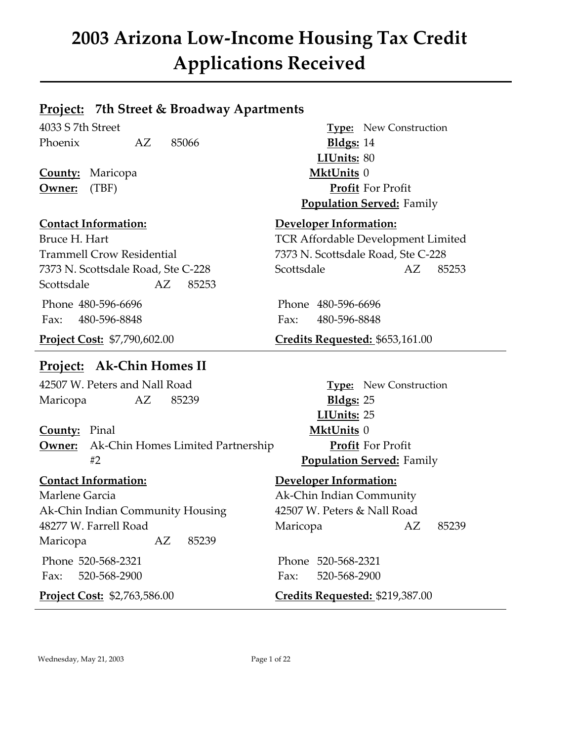### **Project: 7th Street & Broadway Apartments**

Phoenix AZ 85066 **Bldgs:** 14

**County:** Maricopa **MktUnits** 0

Trammell Crow Residential 7373 N. Scottsdale Road, Ste C-228 Scottsdale AZ 85253

### **Project: Ak-Chin Homes II**

42507 W. Peters and Nall Road **Type:** New Construction Maricopa AZ 85239 **Bldgs:** 25

**County:** Pinal **MktUnits** 0 **Owner:** Ak-Chin Homes Limited Partnership **Profit** For Profit #2 **Population Served:** Family

Marlene Garcia **Ak-Chin Indian Community** Ak-Chin Indian Community Housing 42507 W. Peters & Nall Road Maricopa AZ 85239

4033 S 7th Street **Type:** New Construction **LIUnits:** 80 **Owner:** (TBF) **Profit** For Profit **Population Served:** Family

### **Contact Information: Developer Information:**

Bruce H. Hart TCR Affordable Development Limited 7373 N. Scottsdale Road, Ste C-228 Scottsdale AZ 85253

Phone 480-596-6696 Phone 480-596-6696 Fax: 480-596-8848 Fax: 480-596-8848

### **Project Cost:** \$7,790,602.00 **Credits Requested:** \$653,161.00

**LIUnits:** 25

### **Contact Information: Developer Information:**

48277 W. Farrell Road Maricopa AZ 85239

Phone 520-568-2321 Phone 520-568-2321 Fax: 520-568-2900 Fax: 520-568-2900

**Project Cost:** \$2,763,586.00 **Credits Requested:** \$219,387.00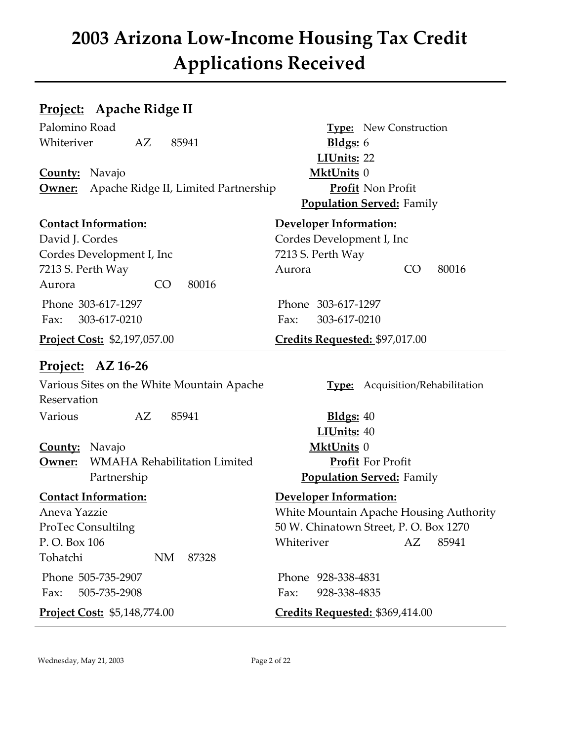### **Project: Apache Ridge II**

Palomino Road **Type:** New Construction Whiteriver AZ 85941 **Bldgs:** 6

**County:** Navajo **MktUnits** 0 **Owner:** Apache Ridge II, Limited Partnership **Profit** Non Profit

David J. Cordes Cordes Development I, Inc Cordes Development I, Inc 7213 S. Perth Way Aurora CO 80016 Phone 303-617-1297 Phone 303-617-1297 Fax: 303-617-0210 Fax: 303-617-0210

### **Project: AZ 16-26**

Various Sites on the White Mountain Apache **Type:** Acquisition/Rehabilitation Reservation Various AZ 85941 **Bldgs:** 40 **County:** Navajo **MktUnits** 0 **Owner:** WMAHA Rehabilitation Limited **Profit** For Profit Partnership **Population Served:** Family

Tohatchi NM 87328 Phone 505-735-2907 Phone 928-338-4831

**LIUnits:** 22 **Population Served:** Family

### **Contact Information: Developer Information:**

7213 S. Perth Way Aurora CO 80016

**Project Cost:** \$2,197,057.00 **Credits Requested:** \$97,017.00

**LIUnits:** 40

### **Contact Information: Developer Information:**

Aneva Yazzie White Mountain Apache Housing Authority ProTec Consultilng 50 W. Chinatown Street, P. O. Box 1270 P. O. Box 106 Whiteriver AZ 85941

Fax: 505-735-2908 Fax: 928-338-4835

**Project Cost:** \$5,148,774.00 **Credits Requested: \$369,414.00** 

Wednesday, May 21, 2003 Page 2 of 22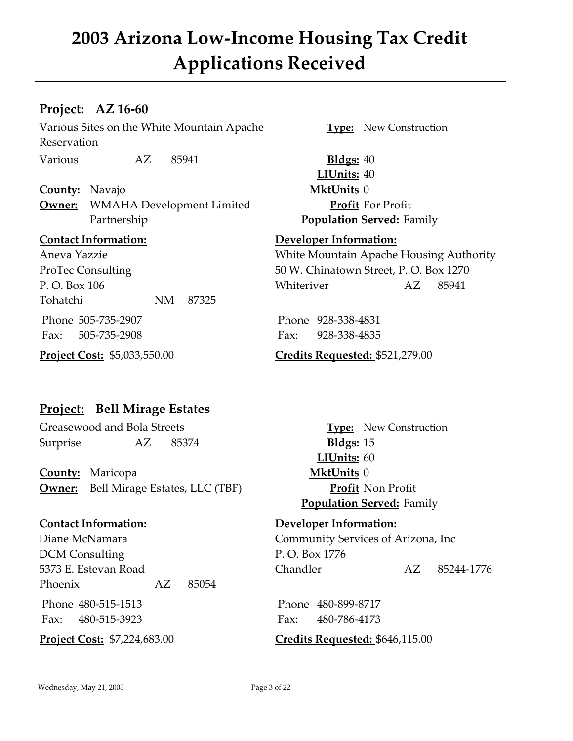### **Project: AZ 16-60**

Various Sites on the White Mountain Apache **Type:** New Construction Reservation Various AZ 85941 **Bldgs:** 40

**County:** Navajo **MktUnits** 0 **Owner:** WMAHA Development Limited **Profit** For Profit Partnership **Population Served:** Family

Tohatchi NM 87325 Phone 505-735-2907 Phone 928-338-4831 Fax: 505-735-2908 Fax: 928-338-4835

**LIUnits:** 40

### **Contact Information: Developer Information:**

Aneva Yazzie White Mountain Apache Housing Authority ProTec Consulting 50 W. Chinatown Street, P. O. Box 1270 P.O. Box 106 Whiteriver AZ 85941

**Project Cost:** \$5,033,550.00 **Credits Requested:** \$521,279.00

### **Project: Bell Mirage Estates**

Greasewood and Bola Streets **Type:** New Construction Surprise AZ 85374 **Bldgs:** 15

**County:** Maricopa **MktUnits** 0 **Owner:** Bell Mirage Estates, LLC (TBF) **Profit** Non Profit

DCM Consulting P.O. Box 1776 Phoenix AZ 85054

Fax: 480-515-3923 Fax: 480-786-4173

**LIUnits:** 60 **Population Served:** Family

### **Contact Information: Developer Information:**

Diane McNamara Community Services of Arizona, Inc 5373 E. Estevan Road Chandler AZ 85244-1776

Phone 480-515-1513 Phone 480-899-8717

### **Project Cost:** \$7,224,683.00 **Credits Requested: \$646,115.00**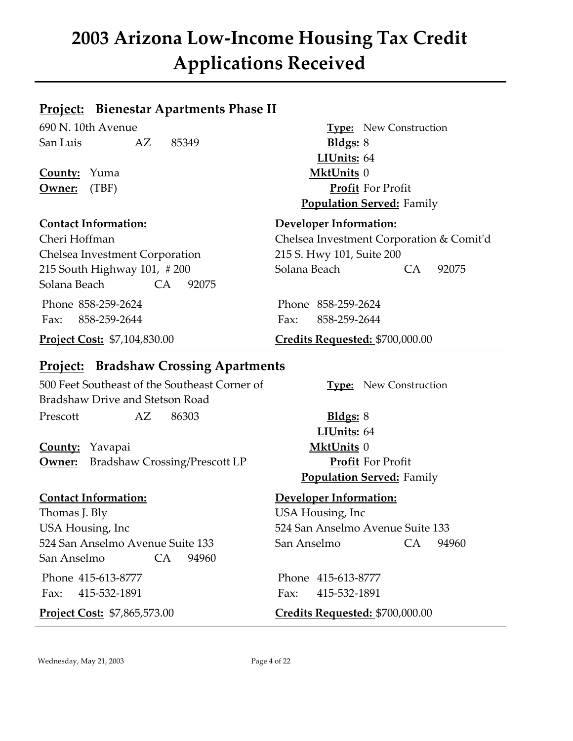### **Project: Bienestar Apartments Phase II**

690 N. 10th Avenue **Type:** New Construction San Luis AZ 85349 **Bldgs:** 8

**County:** Yuma **MktUnits** 0

Chelsea Investment Corporation 215 S. Hwy 101, Suite 200 Solana Beach CA 92075 Phone 858-259-2624 Phone 858-259-2624 Fax: 858-259-2644 Fax: 858-259-2644

### **Project: Bradshaw Crossing Apartments**

500 Feet Southeast of the Southeast Corner of **Type:** New Construction Bradshaw Drive and Stetson Road Prescott AZ 86303 **Bldgs:** 8

**County:** Yavapai **MktUnits** 0 **Owner:** Bradshaw Crossing/Prescott LP **Profit** For Profit

Thomas J. Bly USA Housing, Inc USA Housing, Inc 524 San Anselmo Avenue Suite 133 San Anselmo CA 94960

**LIUnits:** 64 **Owner:** (TBF) **Profit** For Profit **Population Served:** Family

### **Contact Information: Developer Information:**

Cheri Hoffman Chelsea Investment Corporation & Comit'd 215 South Highway 101, #200 Solana Beach CA 92075

**Project Cost:** \$7,104,830.00 **Credits Requested:** \$700,000.00

**LIUnits:** 64 **Population Served:** Family

### **Contact Information: Developer Information:**

524 San Anselmo Avenue Suite 133 San Anselmo CA 94960

 Phone 415-613-8777 Phone 415-613-8777 Fax: 415-532-1891 Fax: 415-532-1891

**Project Cost:** \$7,865,573.00 **Credits Requested:** \$700,000.00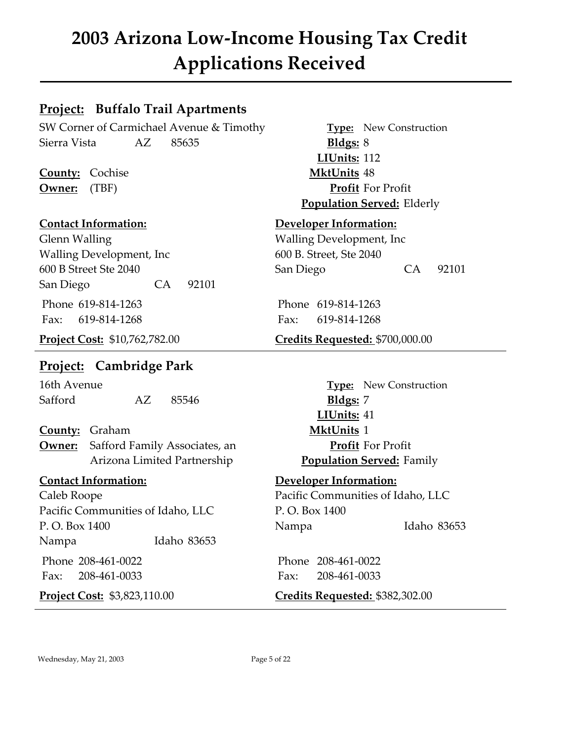### **Project: Buffalo Trail Apartments**

SW Corner of Carmichael Avenue & Timothy **Type:** New Construction Sierra Vista AZ 85635 **Bldgs:** 8

**County:** Cochise **MktUnits** 48

Glenn Walling **Constanting Constanting Constanting Development**, Inc. Walling Development, Inc 600 B. Street, Ste 2040 San Diego CA 92101 Phone 619-814-1263 Phone 619-814-1263 Fax: 619-814-1268 Fax: 619-814-1268

### **Project: Cambridge Park**

16th Avenue **Type:** New Construction Safford AZ 85546 **Bldgs:** 7

**County:** Graham **MktUnits** 1 **Owner:** Safford Family Associates, an **Profit** For Profit Arizona Limited Partnership **Population Served:** Family

Caleb Roope Pacific Communities of Idaho, LLC Pacific Communities of Idaho, LLC P. O. Box 1400 Nampa Idaho 83653

**LIUnits:** 112 **Owner:** (TBF) **Profit** For Profit **Population Served:** Elderly

### **Contact Information: Developer Information:**

600 B Street Ste 2040 San Diego CA 92101

### **Project Cost:** \$10,762,782.00 **Credits Requested:** \$700,000.00

**LIUnits:** 41

### **Contact Information: Developer Information:**

P. O. Box 1400 Nampa Idaho 83653

 Phone 208-461-0022 Phone 208-461-0022 Fax: 208-461-0033 Fax: 208-461-0033

**Project Cost:** \$3,823,110.00 **Credits Requested:** \$382,302.00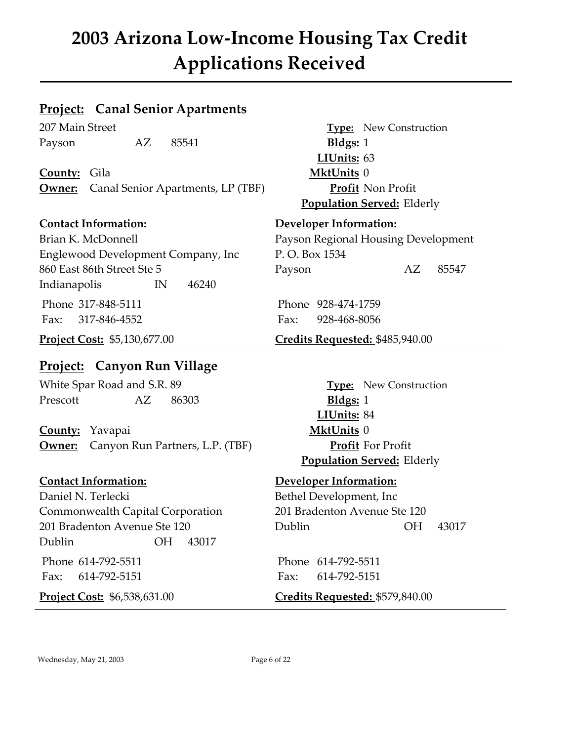### **Project: Canal Senior Apartments**

Payson AZ 85541 **Bldgs:** 1

**County:** Gila **MktUnits** 0 **Owner:** Canal Senior Apartments, LP (TBF) **Profit** Non Profit

Englewood Development Company, Inc P. O. Box 1534 860 East 86th Street Ste 5 Payson AZ 85547 Indianapolis IN 46240 Phone 317-848-5111 Phone 928-474-1759 Fax: 317-846-4552 Fax: 928-468-8056

### **Project: Canyon Run Village**

White Spar Road and S.R. 89 **Type:** New Construction Prescott AZ 86303 **Bldgs:** 1

**County:** Yavapai **MktUnits** 0 **Owner:** Canyon Run Partners, L.P. (TBF) **Profit** For Profit

Daniel N. Terlecki Bethel Development, Inc Commonwealth Capital Corporation 201 Bradenton Avenue Ste 120 Dublin OH 43017

207 Main Street **Type:** New Construction **LIUnits:** 63 **Population Served:** Elderly

### **Contact Information: Developer Information:**

Brian K. McDonnell Payson Regional Housing Development

**Project Cost:** \$5,130,677.00 **Credits Requested: \$485,940.00** 

**LIUnits:** 84 **Population Served:** Elderly

### **Contact Information: Developer Information:**

201 Bradenton Avenue Ste 120 Dublin OH 43017

 Phone 614-792-5511 Phone 614-792-5511 Fax: 614-792-5151 Fax: 614-792-5151

**Project Cost:** \$6,538,631.00 **Credits Requested:** \$579,840.00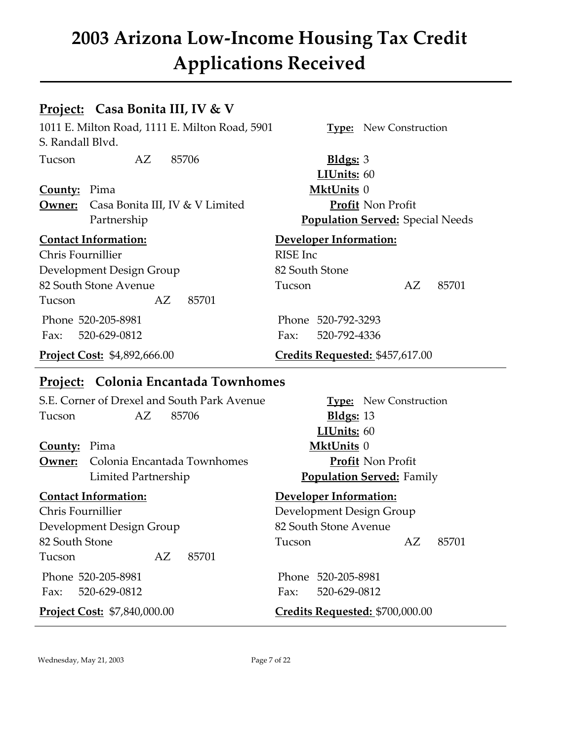### **Project: Casa Bonita III, IV & V**

1011 E. Milton Road, 1111 E. Milton Road, 5901 **Type:** New Construction S. Randall Blvd.

Tucson AZ 85706 **Bldgs:** 3

**County:** Pima **MktUnits** 0 **Owner:** Casa Bonita III, IV & V Limited **Profit** Non Profit

Chris Fournillier RISE Inc Development Design Group 82 South Stone 82 South Stone Avenue Tucson AZ 85701 Tucson AZ 85701

Fax: 520-629-0812 Fax: 520-792-4336

**LIUnits:** 60 Partnership **Population Served:** Special Needs

### **Contact Information: Developer Information:**

Phone 520-205-8981 Phone 520-792-3293

**Project Cost:** \$4,892,666.00 **Credits Requested:** \$457,617.00

### **Project: Colonia Encantada Townhomes**

S.E. Corner of Drexel and South Park Avenue **Type:** New Construction Tucson AZ 85706 **Bldgs:** 13

**County:** Pima **MktUnits** 0 **Owner:** Colonia Encantada Townhomes **Profit** Non Profit Limited Partnership **Population Served:** Family

Chris Fournillier Development Design Group Development Design Group 82 South Stone Avenue Tucson AZ 85701 Phone 520-205-8981 Phone 520-205-8981 Fax: 520-629-0812 Fax: 520-629-0812

**LIUnits:** 60

### **Contact Information: Developer Information:**

82 South Stone Tucson AZ 85701

### **Project Cost:** \$7,840,000.00 **Credits Requested:** \$700,000.00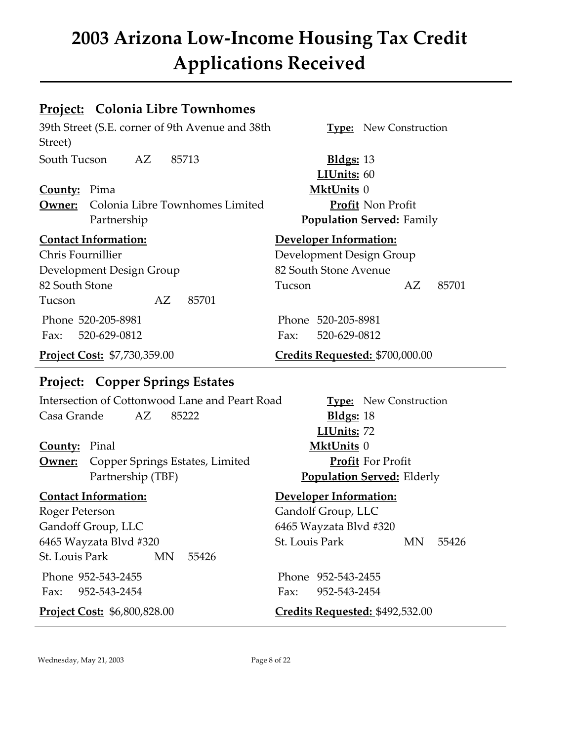### **Project: Colonia Libre Townhomes**

39th Street (S.E. corner of 9th Avenue and 38th **Type:** New Construction Street)

South Tucson AZ 85713 **Bldgs:** 13

**County:** Pima **MktUnits** 0 **Owner:** Colonia Libre Townhomes Limited **Profit** Non Profit Partnership **Population Served:** Family

Chris Fournillier Development Design Group Development Design Group 82 South Stone Avenue Tucson AZ 85701

Fax: 520-629-0812 Fax: 520-629-0812

### **Project: Copper Springs Estates**

Intersection of Cottonwood Lane and Peart Road **Type:** New Construction Casa Grande AZ 85222 **Bldgs:** 18

**County:** Pinal **MktUnits** 0 **Owner:** Copper Springs Estates, Limited **Profit** For Profit Partnership (TBF) **Population Served:** Elderly

Roger Peterson Gandolf Group, LLC Gandoff Group, LLC 6465 Wayzata Blvd #320 St. Louis Park MN 55426

**LIUnits:** 60

### **Contact Information: Developer Information:**

82 South Stone Tucson AZ 85701

Phone 520-205-8981 Phone 520-205-8981

**Project Cost:** \$7,730,359.00 **Credits Requested:** \$700,000.00

**LIUnits:** 72

### **Contact Information: Developer Information:**

6465 Wayzata Blyd #320 St. Louis Park MN 55426

Phone 952-543-2455 Phone 952-543-2455 Fax: 952-543-2454 Fax: 952-543-2454

**Project Cost:** \$6,800,828.00 **Credits Requested:** \$492,532.00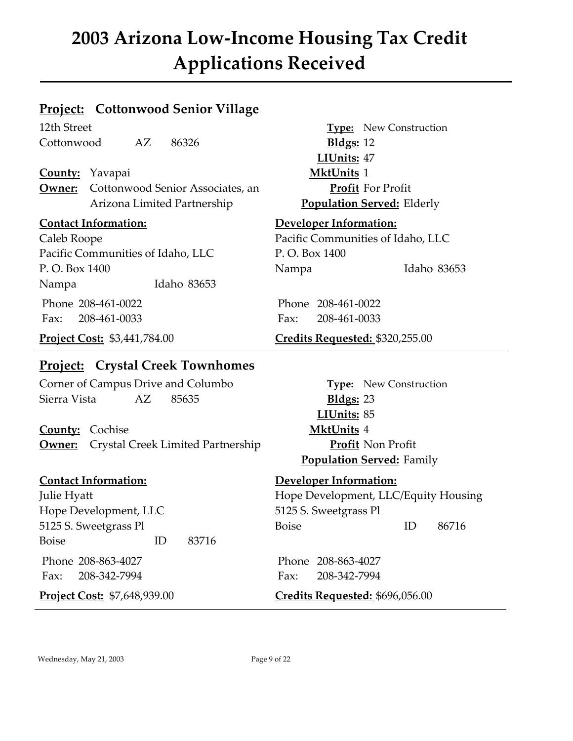### **Project: Cottonwood Senior Village**

12th Street Type: New Construction Cottonwood AZ 86326 **Bldgs:** 12

**County:** Yavapai **MktUnits** 1 **Owner:** Cottonwood Senior Associates, an **Profit** For Profit Arizona Limited Partnership **Population Served:** Elderly

Pacific Communities of Idaho, LLC P. O. Box 1400 P. O. Box 1400 Nampa Idaho 83653 Nampa Idaho 83653 Phone 208-461-0022 Phone 208-461-0022 Fax: 208-461-0033 Fax: 208-461-0033

### **Project: Crystal Creek Townhomes**

Corner of Campus Drive and Columbo **Type:** New Construction Sierra Vista AZ 85635 **Bldgs:** 23

**County:** Cochise **MktUnits** 4 **Owner:** Crystal Creek Limited Partnership **Profit** Non Profit

### **Contact Information: Developer Information:**

Hope Development, LLC 5125 S. Sweetgrass Pl Boise ID 83716 Phone 208-863-4027 Phone 208-863-4027

**LIUnits:** 47

### **Contact Information: Developer Information:**

Caleb Roope Pacific Communities of Idaho, LLC

**Project Cost:** \$3,441,784.00 **Credits Requested:** \$320,255.00

**LIUnits:** 85 **Population Served:** Family

Julie Hyatt Hope Development, LLC/Equity Housing 5125 S. Sweetgrass Pl Boise ID 86716

Fax: 208-342-7994 Fax: 208-342-7994

**Project Cost:** \$7,648,939.00 **Credits Requested:** \$696,056.00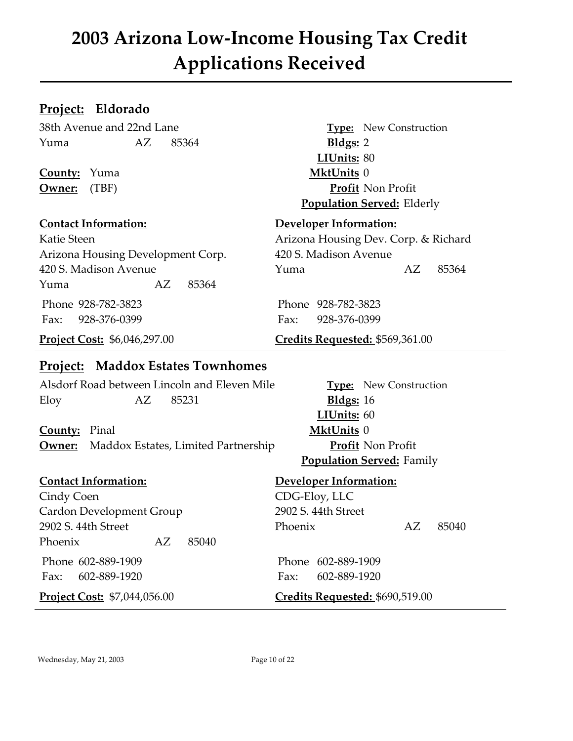### **Project: Eldorado**

38th Avenue and 22nd Lane **Type:** New Construction Yuma AZ 85364 **Bldgs:** 2

**County:** Yuma **MktUnits** 0

Arizona Housing Development Corp. 420 S. Madison Avenue Yuma AZ 85364 Phone 928-782-3823 Phone 928-782-3823 Fax: 928-376-0399 Fax: 928-376-0399

### **Project: Maddox Estates Townhomes**

Alsdorf Road between Lincoln and Eleven Mile **Type:** New Construction Eloy AZ 85231 **Bldgs:** 16

**County:** Pinal **MktUnits** 0 **Owner:** Maddox Estates, Limited Partnership **Profit** Non Profit

Cindy Coen CDG-Eloy, LLC Cardon Development Group 2902 S. 44th Street Phoenix AZ 85040

 Phone 602-889-1909 Phone 602-889-1909 Fax: 602-889-1920 Fax: 602-889-1920

**LIUnits:** 80 **Owner:** (TBF) **Profit** Non Profit **Population Served:** Elderly

### **Contact Information: Developer Information:**

Katie Steen **Arizona Housing Dev. Corp. & Richard** 420 S. Madison Avenue Yuma AZ 85364

**Project Cost:** \$6,046,297.00 **Credits Requested:** \$569,361.00

**LIUnits:** 60 **Population Served:** Family

### **Contact Information: Developer Information:**

2902 S. 44th Street Phoenix AZ 85040

**Project Cost:** \$7,044,056.00 **Credits Requested:** \$690,519.00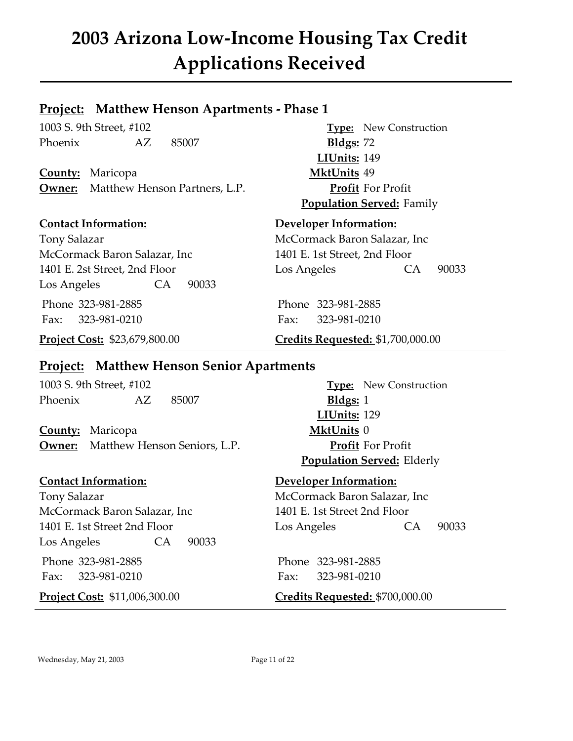### **Project: Matthew Henson Apartments - Phase 1**

1003 S. 9th Street, #102 **Type:** New Construction Phoenix AZ 85007 **Bldgs:** 72

**County:** Maricopa **MktUnits** 49 **Owner:** Matthew Henson Partners, L.P. **Profit** For Profit

Tony Salazar McCormack Baron Salazar, Inc McCormack Baron Salazar, Inc 1401 E. 1st Street, 2nd Floor Los Angeles CA 90033 Phone 323-981-2885 Phone 323-981-2885 Fax: 323-981-0210 Fax: 323-981-0210

**LIUnits:** 149 **Population Served:** Family

### **Contact Information: Developer Information:**

1401 E. 2st Street, 2nd Floor Los Angeles CA 90033

**Project Cost:** \$23,679,800.00 **Credits Requested:** \$1,700,000.00

### **Project: Matthew Henson Senior Apartments**

1003 S. 9th Street, #102 **Type:** New Construction Phoenix AZ 85007 **Bldgs:** 1

**County:** Maricopa **MktUnits** 0 **Owner:** Matthew Henson Seniors, L.P. **Profit** For Profit

Tony Salazar McCormack Baron Salazar, Inc McCormack Baron Salazar, Inc 1401 E. 1st Street 2nd Floor Los Angeles CA 90033

Phone 323-981-2885 Phone 323-981-2885 Fax: 323-981-0210 Fax: 323-981-0210

**LIUnits:** 129 **Population Served:** Elderly

### **Contact Information: Developer Information:**

1401 E. 1st Street 2nd Floor Los Angeles CA 90033

**Project Cost:** \$11,006,300.00 **Credits Requested:** \$700,000.00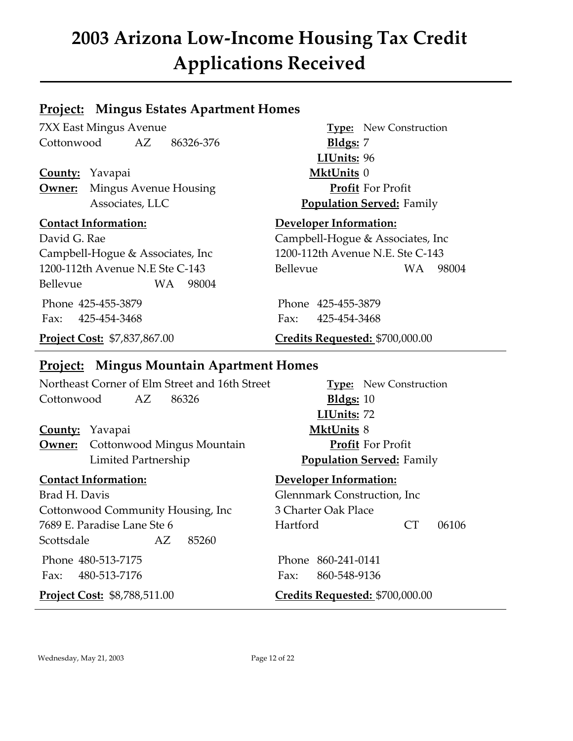### **Project: Mingus Estates Apartment Homes**

7XX East Mingus Avenue **Type:** New Construction Cottonwood AZ 86326-376 **Bldgs:** 7

**County:** Yavapai **MktUnits** 0 **Owner:** Mingus Avenue Housing **Profit** For Profit

Campbell-Hogue & Associates, Inc 1200-112th Avenue N.E. Ste C-143 Bellevue WA 98004

**LIUnits:** 96 Associates, LLC **Population Served:** Family

### **Contact Information: Developer Information:**

David G. Rae Campbell-Hogue & Associates, Inc 1200-112th Avenue N.E Ste C-143 Bellevue WA 98004

Phone 425-455-3879 Phone 425-455-3879 Fax: 425-454-3468 Fax: 425-454-3468

### **Project Cost:** \$7,837,867.00 **Credits Requested:** \$700,000.00

### **Project: Mingus Mountain Apartment Homes**

Northeast Corner of Elm Street and 16th Street **Type:** New Construction Cottonwood AZ 86326 **Bldgs:** 10

### **County:** Yavapai **MktUnits** 8

**Owner:** Cottonwood Mingus Mountain **Profit** For Profit Limited Partnership **Population Served:** Family

Brad H. Davis Glennmark Construction, Inc Cottonwood Community Housing, Inc 3 Charter Oak Place 7689 E. Paradise Lane Ste 6 **Hartford** CT 06106 Scottsdale AZ 85260

 Phone 480-513-7175 Phone 860-241-0141 Fax: 480-513-7176 Fax: 860-548-9136

**LIUnits:** 72

### **Contact Information: Developer Information:**

**Project Cost:** \$8,788,511.00 **Credits Requested:** \$700,000.00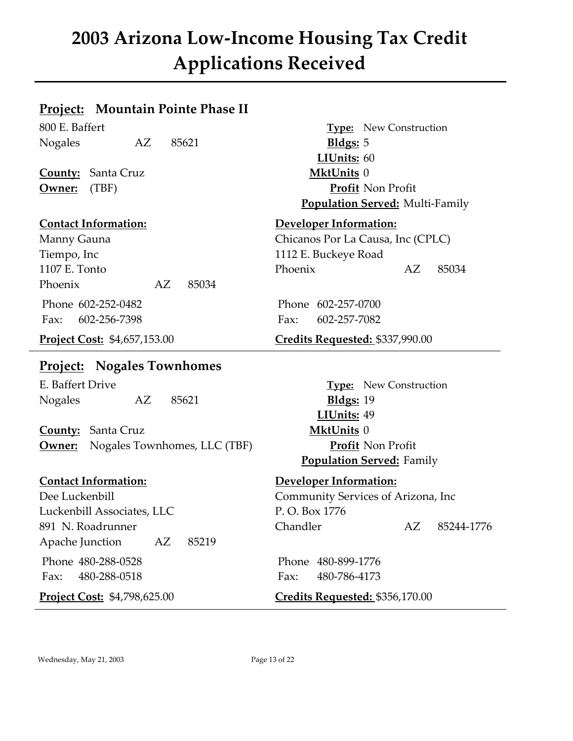### **Project: Mountain Pointe Phase II**

Nogales AZ 85621 **Bldgs:** 5

**County:** Santa Cruz **MktUnits** 0

Tiempo, Inc 1112 E. Buckeye Road Phoenix AZ 85034 Phone 602-252-0482 Phone 602-257-0700 Fax: 602-256-7398 Fax: 602-257-7082

### **Project: Nogales Townhomes**

E. Baffert Drive **Type:** New Construction Nogales AZ 85621 **Bldgs:** 19

**County:** Santa Cruz **MktUnits** 0 **Owner:** Nogales Townhomes, LLC (TBF) **Profit** Non Profit

Luckenbill Associates, LLC P. O. Box 1776 Apache Junction AZ 85219

 Phone 480-288-0528 Phone 480-899-1776 Fax: 480-288-0518 Fax: 480-786-4173

800 E. Baffert **Type:** New Construction **LIUnits:** 60 **Owner:** (TBF) **Profit** Non Profit **Population Served:** Multi-Family

### **Contact Information: Developer Information:**

Manny Gauna **Chicanos Por La Causa**, Inc (CPLC) 1107 E. Tonto Phoenix AZ 85034

### **Project Cost:** \$4,657,153.00 **Credits Requested: \$337,990.00**

**LIUnits:** 49 **Population Served:** Family

### **Contact Information: Developer Information:**

Dee Luckenbill Community Services of Arizona, Inc 891 N. Roadrunner Chandler AZ 85244-1776

### **Project Cost:** \$4,798,625.00 **Credits Requested:** \$356,170.00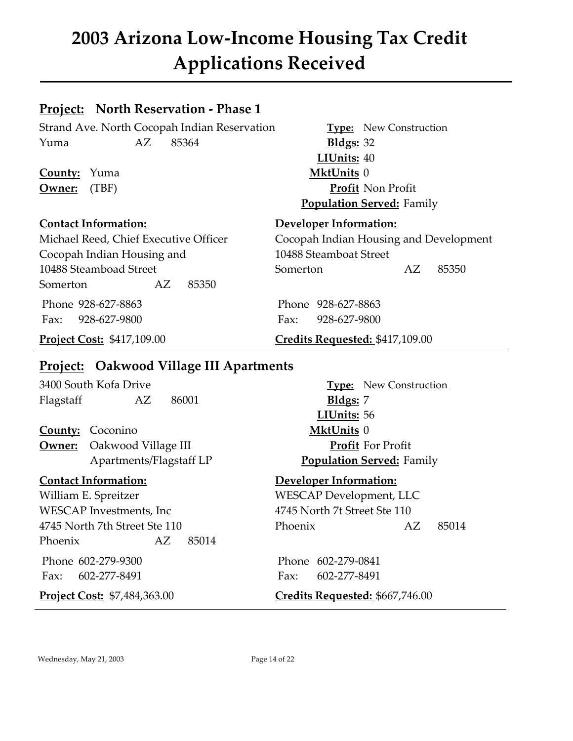### **Project: North Reservation - Phase 1**

Strand Ave. North Cocopah Indian Reservation **Type:** New Construction Yuma AZ 85364 **Bldgs:** 32

**County:** Yuma **MktUnits** 0 **Owner:** (TBF) **Profit** Non Profit

### **Contact Information: Developer Information:**

Michael Reed, Chief Executive Officer Cocopah Indian Housing and Development Cocopah Indian Housing and 10488 Steamboat Street 10488 Steamboad Street Somerton AZ 85350 Somerton AZ 85350 Phone 928-627-8863 Phone 928-627-8863

Fax: 928-627-9800 Fax: 928-627-9800

**LIUnits:** 40

**Population Served:** Family

### **Project Cost:** \$417,109.00 **Credits Requested:** \$417,109.00

### **Project: Oakwood Village III Apartments**

3400 South Kofa Drive **Type:** New Construction Flagstaff AZ 86001 **Bldgs:** 7

**County:** Coconino **MktUnits** 0 **Owner:** Oakwood Village III **Profit** For Profit Apartments/Flagstaff LP **Population Served:** Family

William E. Spreitzer WESCAP Development, LLC WESCAP Investments, Inc 4745 North 7t Street Ste 110 Phoenix AZ 85014

Fax: 602-277-8491 Fax: 602-277-8491

**LIUnits:** 56

### **Contact Information: Developer Information:**

4745 North 7th Street Ste 110 Phoenix AZ 85014

Phone 602-279-9300 Phone 602-279-0841

**Project Cost:** \$7,484,363.00 **Credits Requested:** \$667,746.00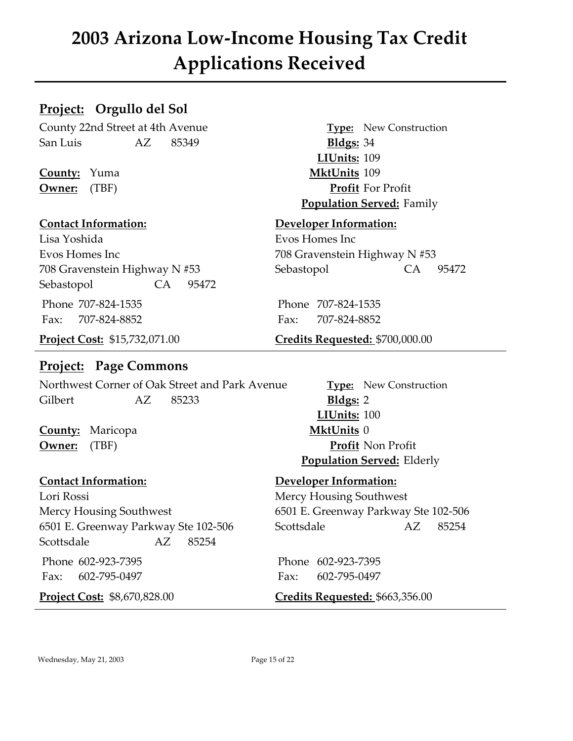### **Project: Orgullo del Sol**

County 22nd Street at 4th Avenue **Type:** New Construction San Luis AZ 85349 **Bldgs:** 34

**County:** Yuma **MktUnits** 109

Lisa Yoshida Evos Homes Inc Evos Homes Inc 708 Gravenstein Highway N #53 Sebastopol CA 95472 Phone 707-824-1535 Phone 707-824-1535 Fax: 707-824-8852 Fax: 707-824-8852

### **Project: Page Commons**

Northwest Corner of Oak Street and Park Avenue **Type:** New Construction Gilbert AZ 85233 **Bldgs:** 2

**County:** Maricopa **MktUnits** 0

Lori Rossi **Mercy Housing Southwest** Mercy Housing Southwest 6501 E. Greenway Parkway Ste 102-506 6501 E. Greenway Parkway Ste 102-506 Scottsdale AZ 85254 Scottsdale AZ 85254

**LIUnits:** 109 **Owner:** (TBF) **Profit** For Profit **Population Served:** Family

### **Contact Information: Developer Information:**

708 Gravenstein Highway N #53 Sebastopol CA 95472

**Project Cost:** \$15,732,071.00 **Credits Requested:** \$700,000.00

**LIUnits:** 100 **Owner:** (TBF) **Profit** Non Profit **Population Served:** Elderly

### **Contact Information: Developer Information:**

Phone 602-923-7395 Phone 602-923-7395 Fax: 602-795-0497 Fax: 602-795-0497

**Project Cost:** \$8,670,828.00 **Credits Requested:** \$663,356.00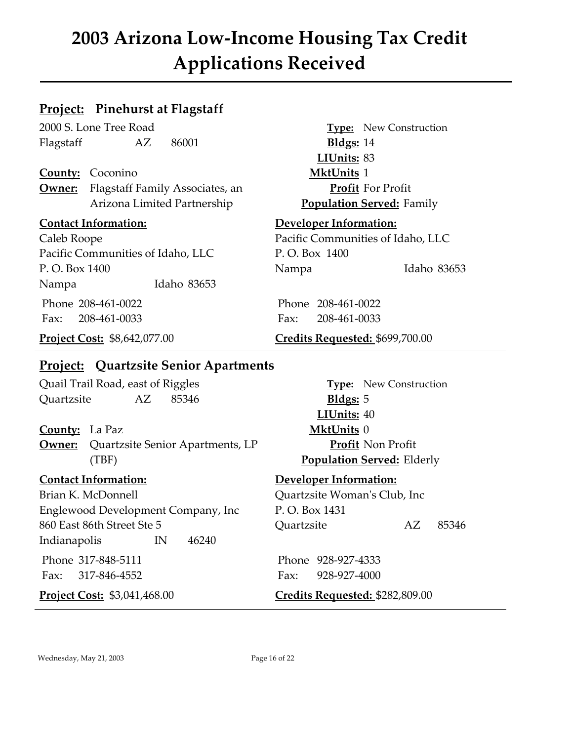### **Project: Pinehurst at Flagstaff**

2000 S. Lone Tree Road **Type:** New Construction Flagstaff AZ 86001 **Bldgs:** 14

**County:** Coconino **MktUnits** 1 **Owner:** Flagstaff Family Associates, an **Profit** For Profit Arizona Limited Partnership **Population Served:** Family

Pacific Communities of Idaho, LLC P. O. Box 1400 P. O. Box 1400 Nampa Idaho 83653 Nampa Idaho 83653 Phone 208-461-0022 Phone 208-461-0022 Fax: 208-461-0033 Fax: 208-461-0033

**LIUnits:** 83

### **Contact Information: Developer Information:**

Caleb Roope Pacific Communities of Idaho, LLC

### **Project Cost:** \$8,642,077.00 **Credits Requested:** \$699,700.00

### **Project: Quartzsite Senior Apartments**

Quail Trail Road, east of Riggles **Type:** New Construction Quartzsite AZ 85346 **Bldgs:** 5

### **County:** La Paz **MktUnits** 0

**Owner:** Quartzsite Senior Apartments, LP **Profit** Non Profit (TBF) **Population Served:** Elderly

Brian K. McDonnell **Quartzsite Woman's Club**, Inc Englewood Development Company, Inc P. O. Box 1431 860 East 86th Street Ste 5 Quartzsite AZ 85346 Indianapolis IN 46240

Phone 317-848-5111 Phone 928-927-4333 Fax: 317-846-4552 Fax: 928-927-4000

**LIUnits:** 40

### **Contact Information: Developer Information:**

**Project Cost:** \$3,041,468.00 **Credits Requested:** \$282,809.00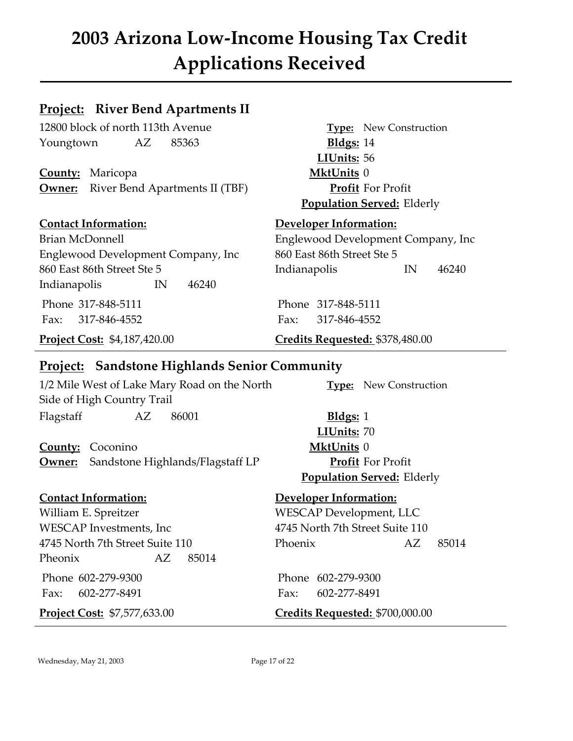### **Project: River Bend Apartments II**

12800 block of north 113th Avenue **Type:** New Construction Youngtown AZ 85363 **Bldgs:** 14

**County:** Maricopa **MktUnits** 0 **Owner:** River Bend Apartments II (TBF) **Profit** For Profit

### **Contact Information: Developer Information:**

Brian McDonnell Englewood Development Company, Inc Englewood Development Company, Inc 860 East 86th Street Ste 5 860 East 86th Street Ste 5 Indianapolis IN 46240 Indianapolis IN 46240 Phone 317-848-5111 Phone 317-848-5111 Fax: 317-846-4552 Fax: 317-846-4552

**Population Served:** Elderly

**LIUnits:** 56

**Project Cost:** \$4,187,420.00 **Credits Requested: \$378,480.00** 

### **Project: Sandstone Highlands Senior Community**

1/2 Mile West of Lake Mary Road on the North **Type:** New Construction Side of High Country Trail Flagstaff AZ 86001 **Bldgs:** 1

**County:** Coconino **MktUnits** 0 **Owner:** Sandstone Highlands/Flagstaff LP **Profit** For Profit

William E. Spreitzer WESCAP Development, LLC WESCAP Investments, Inc 4745 North 7th Street Suite 110 Pheonix AZ 85014

**LIUnits:** 70 **Population Served:** Elderly

### **Contact Information: Developer Information:**

4745 North 7th Street Suite 110 Phoenix AZ 85014

 Phone 602-279-9300 Phone 602-279-9300 Fax: 602-277-8491 Fax: 602-277-8491

**Project Cost:** \$7,577,633.00 **Credits Requested:** \$700,000.00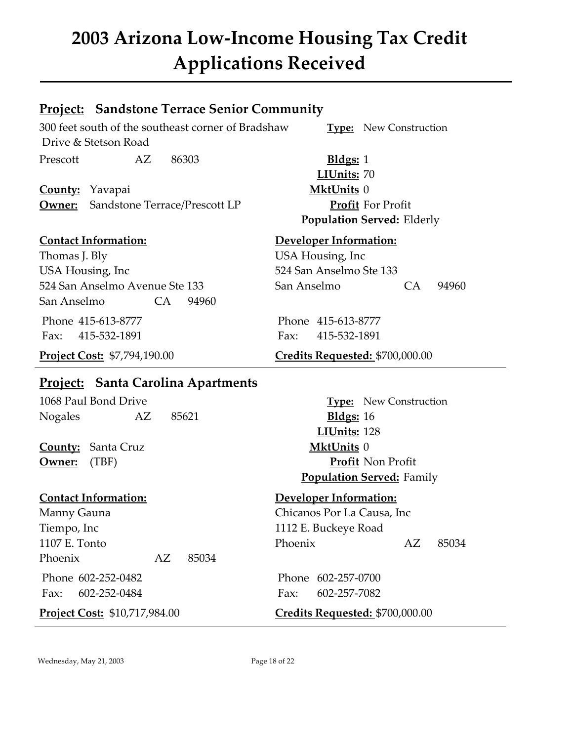### **Project: Sandstone Terrace Senior Community**

300 feet south of the southeast corner of Bradshaw **Type:** New Construction Drive & Stetson Road Prescott AZ 86303 **Bldgs:** 1

**County:** Yavapai **MktUnits** 0 **Owner:** Sandstone Terrace/Prescott LP **Profit** For Profit

Thomas J. Bly USA Housing, Inc USA Housing, Inc 524 San Anselmo Ste 133 San Anselmo CA 94960

Fax: 415-532-1891 Fax: 415-532-1891

### **Project: Santa Carolina Apartments**

1068 Paul Bond Drive **Type:** New Construction Nogales AZ 85621 **Bldgs:** 16

**County:** Santa Cruz **MktUnits** 0

Manny Gauna **Chicanos Por La Causa**, Inc Tiempo, Inc 1112 E. Buckeye Road Phoenix AZ 85034

**LIUnits:** 70 **Population Served:** Elderly

### **Contact Information: Developer Information:**

524 San Anselmo Avenue Ste 133 San Anselmo CA 94960

Phone 415-613-8777 Phone 415-613-8777

**Project Cost:** \$7,794,190.00 **Credits Requested:** \$700,000.00

**LIUnits:** 128 **Owner:** (TBF) **Profit** Non Profit **Population Served:** Family

### **Contact Information: Developer Information:**

1107 E. Tonto Phoenix AZ 85034

 Phone 602-252-0482 Phone 602-257-0700 Fax: 602-252-0484 Fax: 602-257-7082

**Project Cost:** \$10,717,984.00 **Credits Requested:** \$700,000.00

Wednesday, May 21, 2003 Page 18 of 22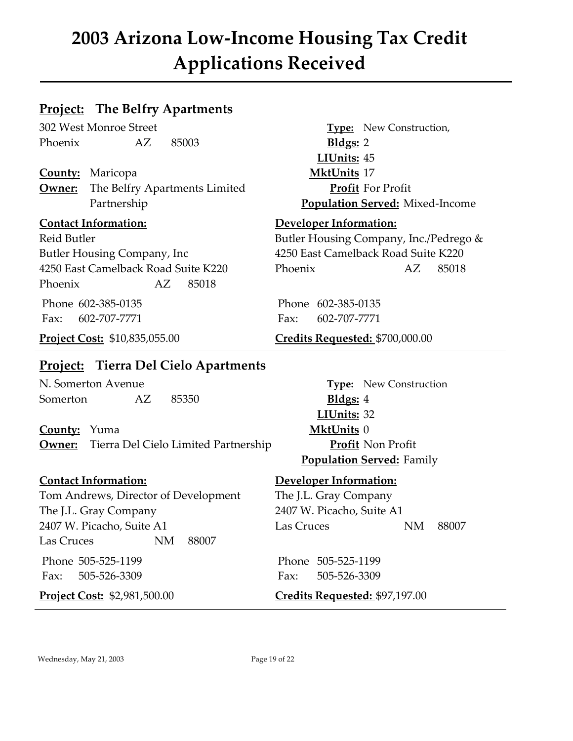### **Project: The Belfry Apartments**

302 West Monroe Street **Type:** New Construction, Phoenix AZ 85003 **Bldgs:** 2

**County:** Maricopa **MktUnits** 17 **Owner:** The Belfry Apartments Limited **Profit** For Profit

Butler Housing Company, Inc 4250 East Camelback Road Suite K220 4250 East Camelback Road Suite K220 Phoenix AZ 85018 Phoenix AZ 85018

Fax: 602-707-7771 Fax: 602-707-7771

### **Project: Tierra Del Cielo Apartments**

N. Somerton Avenue **Type:** New Construction Somerton AZ 85350 **Bldgs:** 4

**County:** Yuma **MktUnits** 0 **Owner:** Tierra Del Cielo Limited Partnership **Profit** Non Profit

Tom Andrews, Director of Development The J.L. Gray Company The J.L. Gray Company 2407 W. Picacho, Suite A1 2407 W. Picacho, Suite A1 Las Cruces NM 88007 Las Cruces NM 88007

**LIUnits:** 45 Partnership **Population Served:** Mixed-Income

### **Contact Information: Developer Information:**

Reid Butler Reid Butler Butler Housing Company, Inc./Pedrego &

Phone 602-385-0135 Phone 602-385-0135

### **Project Cost:** \$10,835,055.00 **Credits Requested:** \$700,000.00

**LIUnits:** 32 **Population Served:** Family

### **Contact Information: Developer Information:**

Phone 505-525-1199 Phone 505-525-1199 Fax: 505-526-3309 Fax: 505-526-3309

**Project Cost:** \$2,981,500.00 **Credits Requested:** \$97,197.00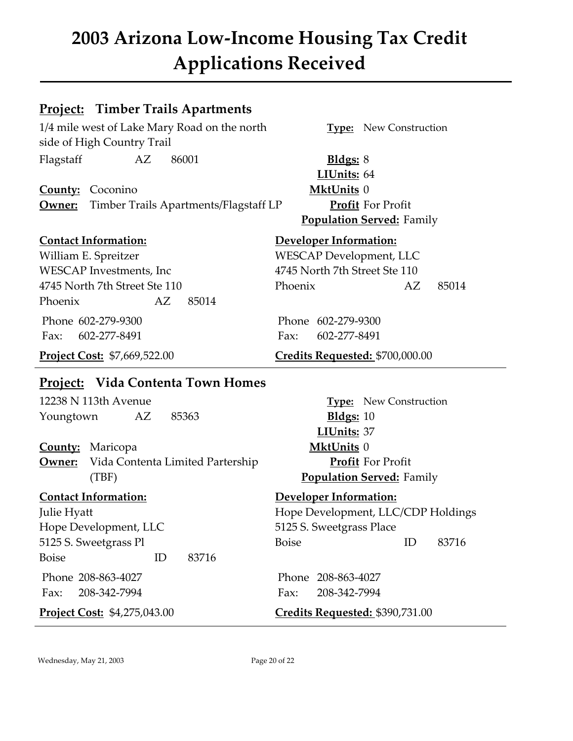### **Project: Timber Trails Apartments**

1/4 mile west of Lake Mary Road on the north **Type:** New Construction side of High Country Trail Flagstaff AZ 86001 **Bldgs:** 8

**County:** Coconino **MktUnits** 0 **Owner:** Timber Trails Apartments/Flagstaff LP **Profit** For Profit

William E. Spreitzer WESCAP Development, LLC WESCAP Investments, Inc 4745 North 7th Street Ste 110 Phoenix AZ 85014

Fax: 602-277-8491 Fax: 602-277-8491

### **Project: Vida Contenta Town Homes**

12238 N 113th Avenue **Type:** New Construction Youngtown AZ 85363 **Bldgs:** 10

**County:** Maricopa **MktUnits** 0 **Owner:** Vida Contenta Limited Partership **Profit** For Profit (TBF) **Population Served:** Family

Hope Development, LLC 5125 S. Sweetgrass Place Boise ID 83716 Phone 208-863-4027 Phone 208-863-4027

**LIUnits:** 64 **Population Served:** Family

### **Contact Information: Developer Information:**

4745 North 7th Street Ste 110 Phoenix AZ 85014

Phone 602-279-9300 Phone 602-279-9300

**Project Cost:** \$7,669,522.00 **Credits Requested:** \$700,000.00

**LIUnits:** 37

## **Contact Information: Developer Information:** Julie Hyatt Hope Development, LLC/CDP Holdings 5125 S. Sweetgrass Pl Boise ID 83716

Fax: 208-342-7994 Fax: 208-342-7994

**Project Cost:** \$4,275,043.00 **Credits Requested: \$390,731.00** 

Wednesday, May 21, 2003 Page 20 of 22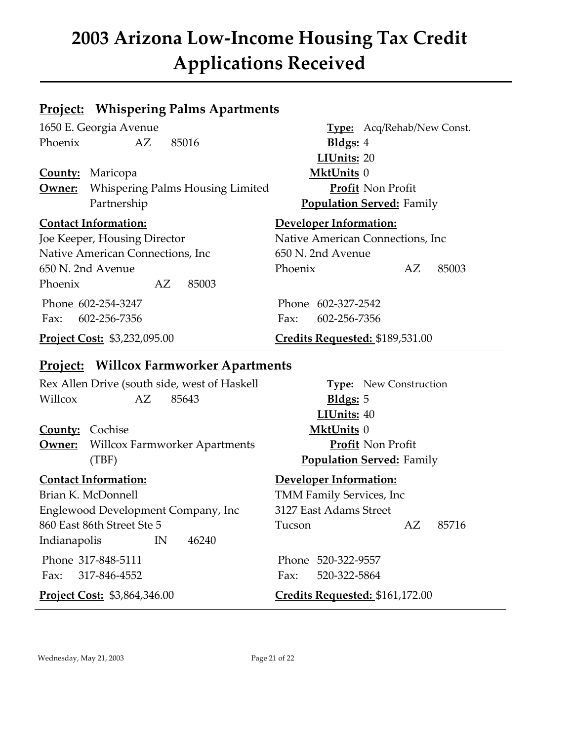### **Project: Whispering Palms Apartments**

Phoenix AZ 85016 **Bldgs:** 4

**County:** Maricopa **MktUnits** 0 **Owner:** Whispering Palms Housing Limited **Profit** Non Profit Partnership **Population Served:** Family

Joe Keeper, Housing Director Native American Connections, Inc Native American Connections, Inc 650 N. 2nd Avenue Phoenix AZ 85003 Phone 602-254-3247 Phone 602-327-2542

Fax: 602-256-7356 Fax: 602-256-7356

# 1650 E. Georgia Avenue **Type:** Acq/Rehab/New Const. **LIUnits:** 20

### **Contact Information: Developer Information:**

650 N. 2nd Avenue Phoenix AZ 85003

### **Project Cost:** \$3,232,095.00 **Credits Requested:** \$189,531.00

### **Project: Willcox Farmworker Apartments**

Rex Allen Drive (south side, west of Haskell **Type:** New Construction Willcox AZ 85643 **Bldgs:** 5

### **County:** Cochise **MktUnits** 0

**Owner:** Willcox Farmworker Apartments **Profit** Non Profit (TBF) **Population Served:** Family

Brian K. McDonnell TMM Family Services, Inc Englewood Development Company, Inc 3127 East Adams Street 860 East 86th Street Ste 5 Tucson AZ 85716 Indianapolis IN 46240

Phone 317-848-5111 Phone 520-322-9557 Fax: 317-846-4552 Fax: 520-322-5864

**LIUnits:** 40

### **Contact Information: Developer Information:**

**Project Cost:** \$3,864,346.00 **Credits Requested:** \$161,172.00